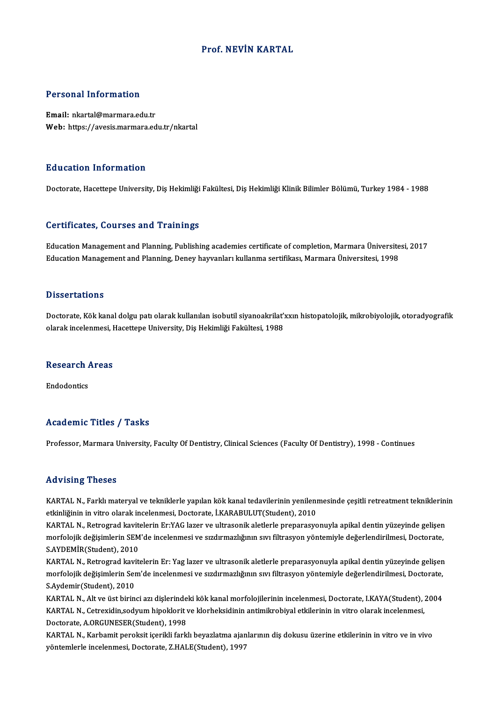#### Prof.NEVİN KARTAL

#### Personal Information

Email: nkartal@marmara.edu.tr Web: https://avesis.marmara.edu.tr/nkartal

#### Education Information

Doctorate, Hacettepe University, Diş Hekimliği Fakültesi, Diş Hekimliği Klinik Bilimler Bölümü, Turkey 1984 - 1988

#### Certificates, Courses and Trainings

Education Management and Planning, Publishing academies certificate of completion, Marmara Üniversitesi, 2017 Education Management and Planning, Deney hayvanları kullanma sertifikası, Marmara Üniversitesi, 1998

#### **Dissertations**

Dissertations<br>Doctorate, Kök kanal dolgu patı olarak kullanılan isobutil siyanoakrilat'xxın histopatolojik, mikrobiyolojik, otoradyografik<br>olarak inselanmesi, Hasettane University, Dis Helsimliği Felsültesi, 1988 olasoor tatrome<br>Doctorate, Kök kanal dolgu patı olarak kullanılan isobutil siyanoakrilat':<br>olarak incelenmesi, Hacettepe University, Diş Hekimliği Fakültesi, 1988

## olarak incelenmesi, r<br>Research Areas Re<mark>search</mark><br>Endodontics

# Academic Titles / Tasks

Professor, Marmara University, Faculty Of Dentistry, Clinical Sciences (Faculty Of Dentistry), 1998 - Continues

#### Advising Theses

Advising Theses<br>KARTAL N., Farklı materyal ve tekniklerle yapılan kök kanal tedavilerinin yenilenmesinde çeşitli retreatment tekniklerinin<br>Stkinliğinin in vitre elerek inselenmesi, Desterete İ.KARARIII UT(Student), 2010. eta visiniş "rissos"<br>KARTAL N., Farklı materyal ve tekniklerle yapılan kök kanal tedavilerinin yenileni<br>etkinliğinin in vitro olarak incelenmesi, Doctorate, İ.KARABULUT(Student), 2010<br>KARTAL N., Betrograd kavitelerin Er:VA KARTAL N., Farklı materyal ve tekniklerle yapılan kök kanal tedavilerinin yenilenmesinde çeşitli retreatment tekniklerini<br>etkinliğinin in vitro olarak incelenmesi, Doctorate, İ.KARABULUT(Student), 2010<br>KARTAL N., Retrograd

etkinliğinin in vitro olarak incelenmesi, Doctorate, İ.KARABULUT(Student), 2010<br>KARTAL N., Retrograd kavitelerin Er:YAG lazer ve ultrasonik aletlerle preparasyonuyla apikal dentin yüzeyinde gelişen<br>morfolojik değişimlerin KARTAL N., Retrograd kavit<br>morfolojik değişimlerin SEM<br>S.AYDEMİR(Student), 2010<br>KARTAL N., Betrograd kavit morfolojik değişimlerin SEM'de incelenmesi ve sızdırmazlığının sıvı filtrasyon yöntemiyle değerlendirilmesi, Doctorate,<br>S.AYDEMİR(Student), 2010<br>KARTAL N., Retrograd kavitelerin Er: Yag lazer ve ultrasonik aletlerle prepar

S.AYDEMİR(Student), 2010<br>KARTAL N., Retrograd kavitelerin Er: Yag lazer ve ultrasonik aletlerle preparasyonuyla apikal dentin yüzeyinde gelişen<br>morfolojik değişimlerin Sem'de incelenmesi ve sızdırmazlığının sıvı filtrasyon KARTAL N., Retrograd kavi<br>morfolojik değişimlerin Ser<br>S.Aydemir(Student), 2010<br>KARTAL N., Alt ve üst birin morfolojik değişimlerin Sem'de incelenmesi ve sızdırmazlığının sıvı filtrasyon yöntemiyle değerlendirilmesi, Doctorate,<br>S.Aydemir(Student), 2010<br>KARTAL N., Alt ve üst birinci azı dişlerindeki kök kanal morfolojilerinin inc

S.Aydemir(Student), 2010<br>KARTAL N., Alt ve üst birinci azı dişlerindeki kök kanal morfolojilerinin incelenmesi, Doctorate, I.KAYA(Student), 2004<br>KARTAL N., Cetrexidin,sodyum hipoklorit ve klorheksidinin antimikrobiyal etki Doctorate,A.ORGUNESER(Student),1998

KARTAL N., Karbamit peroksit içerikli farklı beyazlatma ajanlarının diş dokusu üzerine etkilerinin in vitro ve in vivo yöntemlerle incelenmesi, Doctorate, Z.HALE(Student), 1997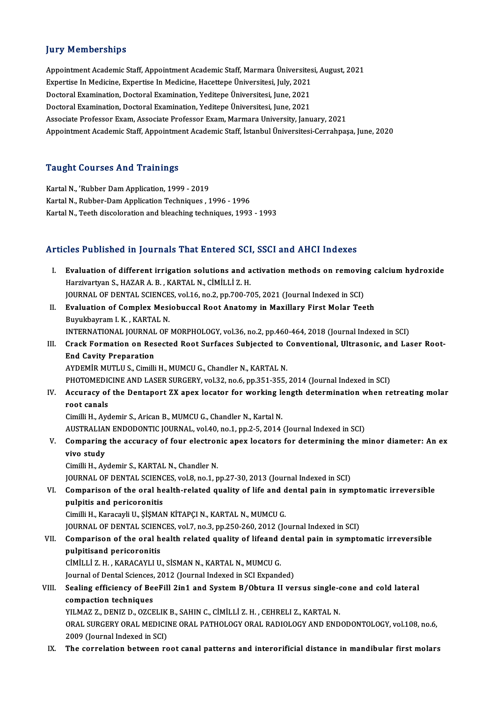#### **Jury Memberships**

**Jury Memberships<br>Appointment Academic Staff, Appointment Academic Staff, Marmara Üniversitesi, August, 2021**<br>Expertise In Medisine, Expertise In Medisine, Hesettene Üniversitesi, July 2021 en y Tremberempe<br>Appointment Academic Staff, Appointment Academic Staff, Marmara Üniversites<br>Expertise In Medicine, Expertise In Medicine, Hacettepe Üniversitesi, July, 2021<br>Decterel Exemination, Decterel Exemination, Vedi Appointment Academic Staff, Appointment Academic Staff, Marmara Üniversites<br>Expertise In Medicine, Expertise In Medicine, Hacettepe Üniversitesi, July, 2021<br>Doctoral Examination, Doctoral Examination, Yeditepe Üniversitesi Expertise In Medicine, Expertise In Medicine, Hacettepe Üniversitesi, July, 2021<br>Doctoral Examination, Doctoral Examination, Yeditepe Üniversitesi, June, 2021<br>Doctoral Examination, Doctoral Examination, Yeditepe Üniversite Doctoral Examination, Doctoral Examination, Yeditepe Üniversitesi, June, 2021<br>Doctoral Examination, Doctoral Examination, Yeditepe Üniversitesi, June, 2021<br>Associate Professor Exam, Associate Professor Exam, Marmara Univer Doctoral Examination, Doctoral Examination, Yeditepe Üniversitesi, June, 2021<br>Associate Professor Exam, Associate Professor Exam, Marmara University, January, 2021<br>Appointment Academic Staff, Appointment Academic Staff, İs

#### Taught Courses And Trainings

Kartal N., 'Rubber Dam Application, 1999 - 2019 Kartal N., Rubber-Dam Application Techniques , 1996 - 1996 Kartal N., Teeth discoloration and bleaching techniques, 1993 - 1993

#### Articles Published in Journals That Entered SCI, SSCI and AHCI Indexes

- The Published in Journals That Entered SCI, SSCI and AHCI Indexes<br>I. Evaluation of different irrigation solutions and activation methods on removing calcium hydroxide<br>Harrivarium S. HAZAR A. B. KARTAI N. CIMILLIZ H Harzivartyan of different irrigation solutions and a<br>Harzivartyan S., HAZAR A. B., KARTAL N., CİMİLLİ Z. H.<br>HALIVAL OF DENTAL SCIENCES vel 16 no 3 nn 700 74 Evaluation of different irrigation solutions and activation methods on removin<br>Harzivartyan S., HAZAR A. B. , KARTAL N., CİMİLLİ Z. H.<br>JOURNAL OF DENTAL SCIENCES, vol.16, no.2, pp.700-705, 2021 (Journal Indexed in SCI)<br>Eva
- Harzivartyan S., HAZAR A. B. , KARTAL N., CIMILLI Z. H.<br>JOURNAL OF DENTAL SCIENCES, vol.16, no.2, pp.700-705, 2021 (Journal Indexed in SCI)<br>II. Evaluation of Complex Mesiobuccal Root Anatomy in Maxillary First Molar Teeth<br> **JOURNAL OF DENTAL SCIENCE<br>Evaluation of Complex Mesi<br>Buyukbayram I. K., KARTAL N.**<br>INTERNATIONAL JOURNAL OF INTERNATIONAL JOURNAL OF MORPHOLOGY, vol.36, no.2, pp.460-464, 2018 (Journal Indexed in SCI)
- Buyukbayram I. K. , KARTAL N.<br>INTERNATIONAL JOURNAL OF MORPHOLOGY, vol.36, no.2, pp.460-464, 2018 (Journal Indexed in SCI)<br>III. Crack Formation on Resected Root Surfaces Subjected to Conventional, Ultrasonic, and Laser **INTERNATIONAL JOURNAL<br>Crack Formation on Res<br>End Cavity Preparation<br>AVDEMIP MUTLUS Cimilli** Crack Formation on Resected Root Surfaces Subjected to (<br>End Cavity Preparation<br>AYDEMİR MUTLU S., Cimilli H., MUMCU G., Chandler N., KARTAL N.<br>PHOTOMEDICINE AND LASER SURCERY Vol 32, no 6, nn 351, 355
	- End Cavity Preparation<br>AYDEMİR MUTLU S., Cimilli H., MUMCU G., Chandler N., KARTAL N.<br>PHOTOMEDICINE AND LASER SURGERY, vol.32, no.6, pp.351-355, 2014 (Journal Indexed in SCI)

AYDEMİR MUTLU S., Cimilli H., MUMCU G., Chandler N., KARTAL N.<br>PHOTOMEDICINE AND LASER SURGERY, vol.32, no.6, pp.351-355, 2014 (Journal Indexed in SCI)<br>IV. Accuracy of the Dentaport ZX apex locator for working length d PHOTOMEDIO<br>Accuracy of<br>root canals<br>Cimilli H Avo root canals<br>Cimilli H., Aydemir S., Arican B., MUMCU G., Chandler N., Kartal N.

AUSTRALIAN ENDODONTIC JOURNAL, vol.40, no.1, pp.2-5, 2014 (Journal Indexed in SCI)

Cimilli H., Aydemir S., Arican B., MUMCU G., Chandler N., Kartal N.<br>AUSTRALIAN ENDODONTIC JOURNAL, vol.40, no.1, pp.2-5, 2014 (Journal Indexed in SCI)<br>V. Comparing the accuracy of four electronic apex locators for determin AUSTRALIA<br>Comparing<br>vivo study<br>Cimilli H Av Comparing the accuracy of four electron<br>vivo study<br>Cimilli H., Aydemir S., KARTAL N., Chandler N.<br>JOUPMAL OF DENTAL SCIENCES vol 8 no.1 n

vivo study<br>Cimilli H., Aydemir S., KARTAL N., Chandler N.<br>JOURNAL OF DENTAL SCIENCES, vol.8, no.1, pp.27-30, 2013 (Journal Indexed in SCI)<br>Comparison of the eral bealth related quality of life and dental pein in sum Cimilli H., Aydemir S., KARTAL N., Chandler N.<br>JOURNAL OF DENTAL SCIENCES, vol.8, no.1, pp.27-30, 2013 (Journal Indexed in SCI)<br>VI. Comparison of the oral health-related quality of life and dental pain in symptomatic irrev

**JOURNAL OF DENTAL SCIENT**<br>**Comparison of the oral he<br>pulpitis and pericoronitis**<br>Cimilli H. Kanagayli H. SISMAI pulpitis and pericoronitis<br>Cimilli H., Karacayli U., ŞİŞMAN KİTAPÇI N., KARTAL N., MUMCU G.<br>JOURNAL OF DENTAL SCIENCES, vol.7, no.3, pp.250-260, 2012 (Journal Indexed in SCI)<br>Comparison of the oral basith related quality o

Cimilli H., Karacayli U., ŞİŞMAN KİTAPÇI N., KARTAL N., MUMCU G.

Cimilli H., Karacayli U., ŞİŞMAN KİTAPÇI N., KARTAL N., MUMCU G.<br>JOURNAL OF DENTAL SCIENCES, vol.7, no.3, pp.250-260, 2012 (Journal Indexed in SCI)<br>VII. Comparison of the oral health related quality of lifeand dental pain **JOURNAL OF DENTAL SCIEN<br>Comparison of the oral h<br>pulpitisand pericoronitis<br>CIMILLIZ HE KARACAYLLU** Comparison of the oral health related quality of lifeand<br>pulpitisand pericoronitis<br>CİMİLLİ Z. H. , KARACAYLI U., SİSMAN N., KARTAL N., MUMCU G.<br>Journal of Dental Sciences, 2012 (Journal Indoved in SCI Evnand pulpitisand pericoronitis<br>CiMiLLi Z. H. , KARACAYLI U., SİSMAN N., KARTAL N., MUMCU G.<br>Journal of Dental Sciences, 2012 (Journal Indexed in SCI Expanded)

### CIMILLI Z. H. , KARACAYLI U., SISMAN N., KARTAL N., MUMCU G.<br>Journal of Dental Sciences, 2012 (Journal Indexed in SCI Expanded)<br>VIII. Sealing efficiency of BeeFill 2in1 and System B/Obtura II versus single-cone and cold la Journal of Dental Sciences,<br>Sealing efficiency of Be<br>compaction techniques<br>VILMAZZ DENIZD OZCE Sealing efficiency of BeeFill 2in1 and System B/Obtura II versus single-compaction techniques<br>YILMAZ Z., DENIZ D., OZCELIK B., SAHIN C., CİMİLLİ Z. H. , CEHRELI Z., KARTAL N.<br>ORAL SURCERY ORAL MEDICINE ORAL RATHOLOCY ORAL

compaction techniques<br>YILMAZ Z., DENIZ D., OZCELIK B., SAHIN C., CİMİLLİ Z. H. , CEHRELI Z., KARTAL N.<br>ORAL SURGERY ORAL MEDICINE ORAL PATHOLOGY ORAL RADIOLOGY AND ENDODONTOLOGY, vol.108, no.6,<br>2009 (Jaurnal Indoved in SCI YILMAZ Z., DENIZ D., OZCELIK<br>ORAL SURGERY ORAL MEDICII<br>2009 (Journal Indexed in SCI)<br>The correlation between re ORAL SURGERY ORAL MEDICINE ORAL PATHOLOGY ORAL RADIOLOGY AND ENDODONTOLOGY, vol.108, no.6,<br>2009 (Journal Indexed in SCI)<br>IX. The correlation between root canal patterns and interorificial distance in mandibular first m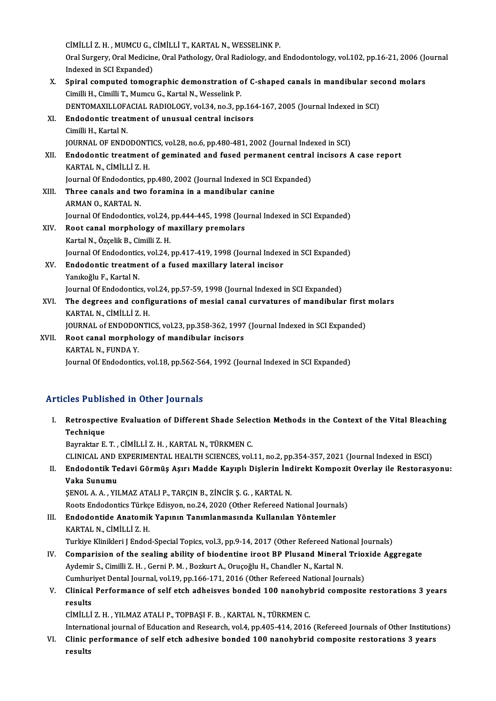CİMİLLİ Z. H. , MUMCU G., CİMİLLİ T., KARTAL N., WESSELINK P.<br>Oral Surgany, Oral Medicine, Oral Pethology, Oral Pediology, ord Oral Surgery, Oral Medicine, Oral Pathology, Oral Radiology, and Endodontology, vol.102, pp.16-21, 2006 (Journal<br>Indexed in SCI Expanded) CIMILLI Z. H. , MUMCU G., O<br>Oral Surgery, Oral Medicin<br>Indexed in SCI Expanded)<br>Sninal computed tomog Oral Surgery, Oral Medicine, Oral Pathology, Oral Radiology, and Endodontology, vol.102, pp.16-21, 2006 (Jonan<br>Indexed in SCI Expanded)<br>X. Spiral computed tomographic demonstration of C-shaped canals in mandibular second m

- Indexed in SCI Expanded)<br>Spiral computed tomographic demonstration c<br>Cimilli H., Cimilli T., Mumcu G., Kartal N., Wesselink P.<br>DENTOMAXILLOEACIAL BADIOLOCY vol 34 no 3 nr Spiral computed tomographic demonstration of C-shaped canals in mandibular sec<br>Cimilli H., Cimilli T., Mumcu G., Kartal N., Wesselink P.<br>DENTOMAXILLOFACIAL RADIOLOGY, vol.34, no.3, pp.164-167, 2005 (Journal Indexed in SCI) Cimilli H., Cimilli T., Mumcu G., Kartal N., Wesselink P.<br>DENTOMAXILLOFACIAL RADIOLOGY, vol.34, no.3, pp.16<br>XI. Endodontic treatment of unusual central incisors<br>Cimilli H. Kartal N DENTOMAXILLOFA<br>**Endodontic treat**<br>Cimilli H., Kartal N.<br>JOUPNAL OF ENDO Endodontic treatment of unusual central incisors<br>Cimilli H., Kartal N.<br>JOURNAL OF ENDODONTICS, vol.28, no.6, pp.480-481, 2002 (Journal Indexed in SCI)<br>Endodontis treatment of geminated and fused nermanent sentral insisors Cimilli H., Kartal N.<br>JOURNAL OF ENDODONTICS, vol.28, no.6, pp.480-481, 2002 (Journal Indexed in SCI)<br>XII. Endodontic treatment of geminated and fused permanent central incisors A case report<br>KARTAL N. CIMILLI 7. H JOURNAL OF ENDODONT<br><mark>Endodontic treatment</mark><br>KARTAL N., CİMİLLİ Z. H.<br>Journal Of Endodontics. n Endodontic treatment of geminated and fused permanent central<br>KARTAL N., CİMİLLİ Z. H.<br>Journal Of Endodontics, pp.480, 2002 (Journal Indexed in SCI Expanded)<br>Three sanak and two foremine in a mandibular sanine. KARTAL N., CİMİLLİ Z. H.<br>Journal Of Endodontics, pp.480, 2002 (Journal Indexed in SCI Expanded)<br>XIII. Three canals and two foramina in a mandibular canine ARMANO.,KARTALN. Three canals and two foramina in a mandibular canine<br>ARMAN 0., KARTAL N.<br>Journal Of Endodontics, vol.24, pp.444-445, 1998 (Journal Indexed in SCI Expanded)<br>Poet sanal mornhology of movillow nuomologe ARMAN O., KARTAL N.<br>Journal Of Endodontics, vol.24, pp.444-445, 1998 (Jou<br>XIV. Root canal morphology of maxillary premolars<br>Kartal N. Özelik B. Cimili 7, H. Journal Of Endodontics, vol.24,<br>Root canal morphology of n<br>Kartal N., Özçelik B., Cimilli Z. H.<br>Journal Of Endodontics, vol.24 Root canal morphology of maxillary premolars<br>Artal N., Özçelik B., Cimilli Z. H.<br>Journal Of Endodontics, vol.24, pp.417-419, 1998 (Journal Indexed in SCI Expanded) Kartal N., Özçelik B., Cimilli Z. H.<br>Journal Of Endodontics, vol.24, pp.417-419, 1998 (Journal Indexe<br>XV. Endodontic treatment of a fused maxillary lateral incisor<br>Vankağlu E. Kartal N. Journal Of Endodontic<br><mark>Endodontic treatme</mark><br>Yanıkoğlu F., Kartal N.<br>Journal Of Endodontic Endodontic treatment of a fused maxillary lateral incisor<br>Yanıkoğlu F., Kartal N.<br>Journal Of Endodontics, vol.24, pp.57-59, 1998 (Journal Indexed in SCI Expanded)<br>The degrees and configurations of mesial sanal survatures o Yanıkoğlu F., Kartal N.<br>Journal Of Endodontics, vol.24, pp.57-59, 1998 (Journal Indexed in SCI Expanded)<br>XVI. The degrees and configurations of mesial canal curvatures of mandibular first molars<br>KARTAL N., CİMİLLİ Z. H. Journal Of Endodontics, v<br>The degrees and confi<br>KARTAL N., CİMİLLİ Z. H.<br>JOUPNAL ef ENDODONTI The degrees and configurations of mesial canal curvatures of mandibular first<br>KARTAL N., CİMİLLİ Z. H.<br>JOURNAL of ENDODONTICS, vol.23, pp.358-362, 1997 (Journal Indexed in SCI Expanded)<br>Poet sanal marnhalasu of mandibular
- XVII. Root canal morphology of mandibular incisors<br>KARTAL N., FUNDA Y. **JOURNAL of ENDODOI<br>Root canal morphol<br>KARTAL N., FUNDA Y.**<br>Journal Of Endodontic Journal Of Endodontics, vol.18, pp.562-564, 1992 (Journal Indexed in SCI Expanded)

#### Articles Published in Other Journals

rticles Published in Other Journals<br>I. Retrospective Evaluation of Different Shade Selection Methods in the Context of the Vital Bleaching<br>Technique Retrospect<br>Technique<br><sup>Poumal</sup>tar <sup>E</sup> Retrospective Evaluation of Different Shade Seleo<br>Technique<br>Bayraktar E. T. , CİMİLLİ Z. H. , KARTAL N., TÜRKMEN C.<br>CUNICAL AND EVPERIMENTAL HEALTH SCIENCES vol

Technique<br>Bayraktar E. T. , CİMİLLİ Z. H. , KARTAL N., TÜRKMEN C.<br>CLINICAL AND EXPERIMENTAL HEALTH SCIENCES, vol.11, no.2, pp.354-357, 2021 (Journal Indexed in ESCI) Bayraktar E. T. , CİMİLLİ Z. H. , KARTAL N., TÜRKMEN C.<br>CLINICAL AND EXPERIMENTAL HEALTH SCIENCES, vol.11, no.2, pp.354-357, 2021 (Journal Indexed in ESCI)<br>II. Endodontik Tedavi Görmüş Aşırı Madde Kayıplı Dişlerin İndi

CLINICAL AND I<br>Endodontik Te<br>Vaka Sunumu<br>SENOL A A - VII Endodontik Tedavi Görmüş Aşırı Madde Kayıplı Dişlerin İnd<br>Vaka Sunumu<br>ŞENOL A. A. , YILMAZ ATALI P., TARÇIN B., ZİNCİR Ş. G. , KARTAL N.<br>Poets Endodontiss Türkse Edisyon nə 24, 2020 (Other Pefereed Ne

Vaka Sunumu<br>ŞENOL A. A. , YILMAZ ATALI P., TARÇIN B., ZİNCİR Ş. G. , KARTAL N.<br>Roots Endodontics Türkçe Edisyon, no.24, 2020 (Other Refereed National Journals)<br>Endodontide Anatomik Vanının Tanımlanmasında Kullanılan Vöntem SENOL A. A. , YILMAZ ATALI P., TARÇIN B., ZİNCİR Ş. G. , KARTAL N.<br>Roots Endodontics Türkçe Edisyon, no.24, 2020 (Other Refereed National Journa<br>III. Endodontide Anatomik Yapının Tanımlanmasında Kullanılan Yöntemler<br>KARTAL

Roots Endodontics Türkç<br><mark>Endodontide Anatomik</mark><br>KARTAL N., CİMİLLİ Z. H.<br>Turkiye Klinikleri I Endod Endodontide Anatomik Yapının Tanımlanmasında Kullanılan Yöntemler<br>KARTAL N., CİMİLLİ Z. H.<br>Turkiye Klinikleri J Endod-Special Topics, vol.3, pp.9-14, 2017 (Other Refereed National Journals)<br>Comparision of the seeling abili

- KARTAL N., CİMİLLİ Z. H.<br>Turkiye Klinikleri J Endod-Special Topics, vol.3, pp.9-14, 2017 (Other Refereed National Journals)<br>IV. Comparision of the sealing ability of biodentine iroot BP Plusand Mineral Trioxide Aggrega Turkiye Klinikleri J Endod-Special Topics, vol.3, pp.9-14, 2017 (Other Refereed National Mineral Comparision of the sealing ability of biodentine iroot BP Plusand Mineral Aydemir S., Cimilli Z. H. , Gerni P. M. , Bozkurt A Comparision of the sealing ability of biodentine iroot BP Plusand Mineral Trio:<br>Aydemir S., Cimilli Z. H. , Gerni P. M. , Bozkurt A., Oruçoğlu H., Chandler N., Kartal N.<br>Cumhuriyet Dental Journal, vol.19, pp.166-171, 2016
- V. Clinical Performance of self etch adheisves bonded 100 nanohybrid composite restorations 3 years Cumhur<br>Clinical<br>results<br>CiMit ti results<br>CİMİLLİ Z. H. , YILMAZ ATALI P., TOPBAŞI F. B. , KARTAL N., TÜRKMEN C.<br>International journal of Education and Research, vol.4, pp.405-414, 2016 (Refereed Journals of Other Institutions)<br>Clinia performange of self e

CİMİLLİZ.H. ,YILMAZATALIP.,TOPBAŞIF.B. ,KARTALN.,TÜRKMENC.

CIMILLI Z. H. , YILMAZ ATALI P., TOPBAŞI F. B. , KARTAL N., TÜRKMEN C.<br>International journal of Education and Research, vol.4, pp.405-414, 2016 (Refereed Journals of Other Institutic<br>VI. Clinic performance of self etch adh Interna<br>Cli<mark>nic I</mark><br>results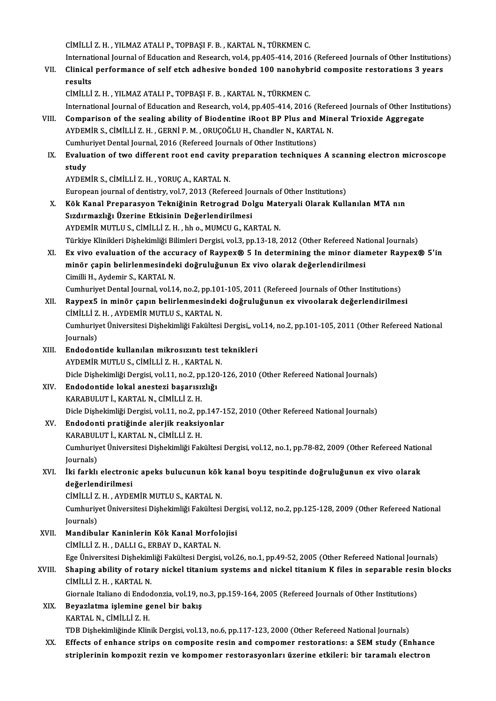CİMİLLİZ.H. ,YILMAZATALIP.,TOPBAŞIF.B. ,KARTALN.,TÜRKMENC.

International Journal of Education and Research, vol.4, pp.405-414, 2016 (Refereed Journals of Other Institutions) CIMILLI Z. H. , YILMAZ ATALI P., TOPBAŞI F. B. , KARTAL N., TÜRKMEN C.<br>International Journal of Education and Research, vol.4, pp.405-414, 2016 (Refereed Journals of Other Institution<br>VII. Clinical performance of self etch Internat<br>Clinical<br>results<br>CiMit ti Clinical performance of self etch adhesive bonded 100 nanohybi<br>results<br>CİMİLLİ Z. H. , YILMAZ ATALI P., TOPBAŞI F. B. , KARTAL N., TÜRKMEN C.<br>International Journal of Education and Besearch yol 4 nn 405,414,2016

results<br>CIMILLI Z. H. , YILMAZ ATALI P., TOPBAŞI F. B. , KARTAL N., TÜRKMEN C.<br>International Journal of Education and Research, vol.4, pp.405-414, 2016 (Refereed Journals of Other Institutions)

- CIMILLI Z. H., YILMAZ ATALI P., TOPBAŞI F. B., KARTAL N., TÜRKMEN C.<br>International Journal of Education and Research, vol.4, pp.405-414, 2016 (Refereed Journals of Other Instituti<br>VIII. Comparison of the sealing ability of International Journal of Education and Research, vol.4, pp.405-414, 2016 (Refer<br>Comparison of the sealing ability of Biodentine iRoot BP Plus and Min<br>AYDEMİR S., CİMİLLİ Z. H. , GERNİ P. M. , ORUÇOĞLU H., Chandler N., KART Comparison of the sealing ability of Biodentine iRoot BP Plus and<br>AYDEMİR S., CİMİLLİ Z. H., GERNİ P. M., ORUÇOĞLU H., Chandler N., KARTA<br>Cumhuriyet Dental Journal, 2016 (Refereed Journals of Other Institutions)<br>Fyolustion AYDEMİR S., CİMİLLİ Z. H. , GERNİ P. M. , ORUÇOĞLU H., Chandler N., KARTAL N.<br>Cumhuriyet Dental Journal, 2016 (Refereed Journals of Other Institutions)<br>IX. Evaluation of two different root end cavity preparation techniques
- Cumhu<br>Evalua<br>study<br>AVDEN Evaluation of two different root end cavity<br>study<br>AYDEMİR S., CİMİLLİ Z. H. , YORUÇ A., KARTAL N.<br>European journal of dentistry val 7, 2012 (Befer study<br>AYDEMİR S., CİMİLLİ Z. H. , YORUÇ A., KARTAL N.<br>European journal of dentistry, vol.7, 2013 (Refereed Journals of Other Institutions)

- AYDEMİR S., CİMİLLİ Z. H. , YORUÇ A., KARTAL N.<br>European journal of dentistry, vol.7, 2013 (Refereed Journals of Other Institutions)<br>X. Kök Kanal Preparasyon Tekniğinin Retrograd Dolgu Materyali Olarak Kullanılan MTA nın<br>S European journal of dentistry, vol.7, 2013 (Refereed Jou<br>Kök Kanal Preparasyon Tekniğinin Retrograd Dol<br>Sızdırmazlığı Üzerine Etkisinin Değerlendirilmesi<br>AYDEMİR MUTULI S. CİMÜLİ 7-H. bb.a MUMCU.G. KA Kök Kanal Preparasyon Tekniğinin Retrograd Dolgu Mat<br>Sızdırmazlığı Üzerine Etkisinin Değerlendirilmesi<br>AYDEMİR MUTLU S., CİMİLLİ Z. H. , hh o., MUMCU G., KARTAL N.<br>Türkiye Klinikleri Diskekimliği Bilimleri Dergisi vel 3-nn Sızdırmazlığı Üzerine Etkisinin Değerlendirilmesi<br>AYDEMİR MUTLU S., CİMİLLİ Z. H. , hh o., MUMCU G., KARTAL N.<br>Türkiye Klinikleri Dişhekimliği Bilimleri Dergisi, vol.3, pp.13-18, 2012 (Other Refereed National Journals)
- AYDEMİR MUTLU S., CİMİLLİ Z. H. , hh o., MUMCU G., KARTAL N.<br>Türkiye Klinikleri Dişhekimliği Bilimleri Dergisi, vol.3, pp.13-18, 2012 (Other Refereed National Journals)<br>XI. Ex vivo evaluation of the accuracy of Raypex® 5 I Türkiye Klinikleri Dişhekimliği Bilimleri Dergisi, vol.3, pp.13-18, 2012 (Other Refereed Nat<br>Ex vivo evaluation of the accuracy of Raypex® 5 In determining the minor dial<br>minör çapin belirlenmesindeki doğruluğunun Ex vivo Ex vivo evaluation of the accert<br>minör çapin belirlenmesinde<br>Cimilli H., Aydemir S., KARTAL N.<br>Cumburiyat Dantal Jaurnal val 1 minör çapin belirlenmesindeki doğruluğunun Ex vivo olarak değerlendirilmesi<br>Cimilli H., Aydemir S., KARTAL N.<br>Cumhuriyet Dental Journal, vol.14, no.2, pp.101-105, 2011 (Refereed Journals of Other Institutions)<br>Baynex5 in m

- Cimilli H., Aydemir S., KARTAL N.<br>Cumhuriyet Dental Journal, vol.14, no.2, pp.101-105, 2011 (Refereed Journals of Other Institutions)<br>XII. Raypex5 in minör çapın belirlenmesindeki doğruluğunun ex vivoolarak değerlendirilme Cumhuriyet Dental Journal, vol.14, no.2, pp.101<br>Raypex5 in minör çapın belirlenmesindek<br>CİMİLLİ Z. H. , AYDEMİR MUTLU S., KARTAL N.<br>Cumhuriyet Üniversitesi Dishekimliği Fekültesi Raypex5 in minör çapın belirlenmesindeki doğruluğunun ex vivoolarak değerlendirilmesi<br>CİMİLLİ Z. H. , AYDEMİR MUTLU S., KARTAL N.<br>Cumhuriyet Üniversitesi Dişhekimliği Fakültesi Dergisi,, vol.14, no.2, pp.101-105, 2011 (Oth CIMILLI Z<br>Cumhuriy<br>Journals)<br>Endodon Cumhuriyet Üniversitesi Dişhekimliği Fakültesi Dergisi,, volumals)<br>XIII. Endodontide kullanılan mikrosızıntı test teknikleri<br>AVDEMİR MITUUS CİMİULİZ H. KARTAL N
- Journals)<br>XIII. Endodontide kullanılan mikrosızıntı test teknikleri<br>AYDEMİR MUTLU S. CİMİLLİ Z. H. , KARTAL N. Dicle Dişhekimliği Dergisi, vol.11, no.2, pp.120-126, 2010 (Other Refereed National Journals) AYDEMİR MUTLU S., CİMİLLİ Z. H., KARTAL N<br>Dicle Dişhekimliği Dergisi, vol.11, no.2, pp.120<br>XIV. Endodontide lokal anestezi başarısızlığı<br>KARABILLETİ, KARTAL N. CİMİLLİ Z. H
- Dicle Dişhekimliği Dergisi, vol.11, no.2, p<sub>l</sub><br>Endodontide lokal anestezi başarısı:<br>KARABULUT İ., KARTAL N., CİMİLLİ Z. H.<br>Disle Dishekimliği Dergisi vel.1.1, no.2, nı KARABULUT İ., KARTAL N., CİMİLLİ Z. H.<br>Dicle Dişhekimliği Dergisi, vol.11, no.2, pp.147-152, 2010 (Other Refereed National Journals) KARABULUT İ., KARTAL N., CİMİLLİ Z. H.<br>Dicle Dişhekimliği Dergisi, vol.11, no.2, pp.147-1<br>XV. Endodonti pratiğinde alerjik reaksiyonlar<br>KARABULUT İ. KARTAL N. CİMİLLİ Z. H
- Dicle Dişhekimliği Dergisi, vol.11, no.2, p<sub>l</sub><br>Endodonti pratiğinde alerjik reaksiy<br>KARABULUT İ., KARTAL N., CİMİLLİ Z. H.<br>Cumburiyat Üniversitesi Dishekimliği Fel Cumhuriyet Üniversitesi Dişhekimliği Fakültesi Dergisi, vol.12, no.1, pp.78-82, 2009 (Other Refereed National<br>Journals) KARABULUT İ., KARTAL N., CİMİLLİ Z. H. Cumhuriyet Üniversitesi Dişhekimliği Fakültesi Dergisi, vol.12, no.1, pp.78-82, 2009 (Other Refereed Nation Journals)<br>Journals)<br>Aeğerlendirilmesi
- Journals)<br>İki farklı electroni<br>değerlendirilmesi<br>CiMiLLİ 7 H AVDE İki farklı electronic apeks bulucunun kök<br>değerlendirilmesi<br>CİMİLLİ Z. H. , AYDEMİR MUTLU S., KARTAL N.<br>Cumburiyat Üniversitesi Disbekimliği Fekültesi

değerlendirilmesi<br>CiMiLLİ Z. H. , AYDEMİR MUTLU S., KARTAL N.<br>Cumhuriyet Üniversitesi Dişhekimliği Fakültesi Dergisi, vol.12, no.2, pp.125-128, 2009 (Other Refereed National<br>Journals) CİMİLLİ Z<br>Cumhuriy<br>Journals)<br>Mandibu Cumhuriyet Üniversitesi Dişhekimliği Fakültesi Der<br>Journals)<br>XVII. Mandibular Kaninlerin Kök Kanal Morfolojisi<br>CIMULLI Z. H. DALLI C. ERRAV D. KARTAL N

Journals)<br>Mandibular Kaninlerin Kök Kanal Morfol<br>CİMİLLİ Z. H., DALLI G., ERBAY D., KARTAL N.<br>Fge Üniversitesi Dishekimliği Fekültesi Dergisi Mandibular Kaninlerin Kök Kanal Morfolojisi<br>CİMİLLİ Z. H. , DALLI G., ERBAY D., KARTAL N.<br>Ege Üniversitesi Dişhekimliği Fakültesi Dergisi, vol.26, no.1, pp.49-52, 2005 (Other Refereed National Journals)<br>Shaning ability of CIMILLI Z. H. , DALLI G., ERBAY D., KARTAL N.<br>Ege Üniversitesi Dişhekimliği Fakültesi Dergisi, vol.26, no.1, pp.49-52, 2005 (Other Refereed National Journals)<br>XVIII. Shaping ability of rotary nickel titanium systems and ni

## Ege Üniversitesi Dişhekim<br>Shaping ability of rotal<br>CİMİLLİ Z. H. , KARTAL N.<br>Giarrala İtaliana di Ended Shaping ability of rotary nickel titanium systems and nickel titanium K files in separable resi<br>CIMILLI Z. H. , KARTAL N.<br>Giornale Italiano di Endodonzia, vol.19, no.3, pp.159-164, 2005 (Refereed Journals of Other Institut

Giornale Italiano di Endodonzia, vol.19, no.3, pp.159-164, 2005 (Refereed Journals of Other Institutions)

CIMILLI Z. H., KARTAL N.<br>Giornale Italiano di Endodonzia, vol.19, n<br>XIX. Beyazlatma işlemine genel bir bakış<br>KARTAL N., CIMILLI Z. H.

TDB Dişhekimliğinde Klinik Dergisi, vol.13, no.6, pp.117-123, 2000 (Other Refereed National Journals)

KARTAL N., CİMİLLİ Z. H.<br>TDB Dişhekimliğinde Klinik Dergisi, vol.13, no.6, pp.117-123, 2000 (Other Refereed National Journals)<br>XX. Effects of enhance strips on composite resin and compomer restorations: a SEM study (Enhanc TDB Dişhekimliğinde Klinik Dergisi, vol.13, no.6, pp.117-123, 2000 (Other Refereed National Journals)<br>Effects of enhance strips on composite resin and compomer restorations: a SEM study (Enhanc<br>striplerinin kompozit rezin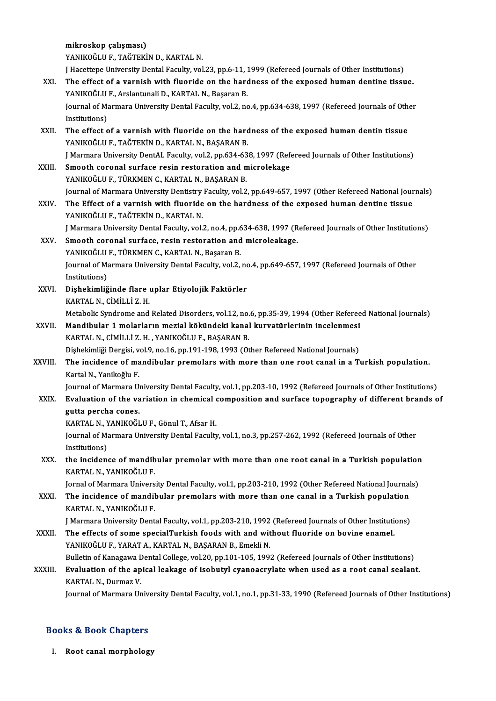mikroskop çalışması) YANIKOĞLU F., TAĞTEKİN D., KARTAL N. J Hacettepe University Dental Faculty, vol.23, pp.6-11, 1999 (Refereed Journals of Other Institutions) YANIKOĞLU F., TAĞTEKİN D., KARTAL N.<br>J Hacettepe University Dental Faculty, vol.23, pp.6-11, 1999 (Refereed Journals of Other Institutions)<br>XXI. The effect of a varnish with fluoride on the hardness of the exposed human de J Hacettepe University Dental Faculty, vol.23, pp.6-11, 1<br>The effect of a varnish with fluoride on the hard<br>YANIKOĞLU F., Arslantunali D., KARTAL N., Başaran B.<br>Journal of Marmara University Dontal Faculty vol.2, no Journal of Marmara University Dental Faculty, vol.2, no.4, pp.634-638, 1997 (Refereed Journals of Other Institutions) YANIKOĞLU F., Arslantunali D., KARTAL N., Başaran B. Journal of Marmara University Dental Faculty, vol.2, no.4, pp.634-638, 1997 (Refereed Journals of Oth<br>Institutions)<br>XXII. The effect of a varnish with fluoride on the hardness of the exposed human dentin tissue<br>VANIKOČLUE Institutions)<br>The effect of a varnish with fluoride on the hard<br>YANIKOĞLU F., TAĞTEKİN D., KARTAL N., BAŞARAN B.<br>LMarmara University DentAL Fasulty vel 2 nn 624,62. The effect of a varnish with fluoride on the hardness of the exposed human dentin tissue<br>YANIKOĞLU F., TAĞTEKİN D., KARTAL N., BAŞARAN B.<br>J Marmara University DentAL Faculty, vol.2, pp.634-638, 1997 (Refereed Journals of O YANIKOĞLU F., TAĞTEKİN D., KARTAL N., BAŞARAN B.<br>J Marmara University DentAL Faculty, vol.2, pp.634-638, 1997 (Ref<br>XXIII. Smooth coronal surface resin restoration and microlekage<br>XANIKOĞLU E. TÜRKAEN G. KARTAL N. RASARAN B J Marmara University DentAL Faculty, vol.2, pp.634-63<br>Smooth coronal surface resin restoration and m<br>YANIKOĞLU F., TÜRKMEN C., KARTAL N., BAŞARAN B.<br>Journal of Marmara University Dentistry Faculty, vol.2 Smooth coronal surface resin restoration and microlekage<br>YANIKOĞLU F., TÜRKMEN C., KARTAL N., BAŞARAN B.<br>Journal of Marmara University Dentistry Faculty, vol.2, pp.649-657, 1997 (Other Refereed National Journals) YANIKOĞLU F., TÜRKMEN C., KARTAL N., BAŞARAN B.<br>Journal of Marmara University Dentistry Faculty, vol.2, pp.649-657, 1997 (Other Refereed National Jour<br>XXIV. The Effect of a varnish with fluoride on the hardness of the expo Journal of Marmara University Dentistry<br>The Effect of a varnish with fluoride<br>YANIKOĞLU F., TAĞTEKİN D., KARTAL N.<br>J Marmara University Dental Fasulty vel. The Effect of a varnish with fluoride on the hardness of the exposed human dentine tissue<br>YANIKOĞLU F., TAĞTEKİN D., KARTAL N.<br>J Marmara University Dental Faculty, vol.2, no.4, pp.634-638, 1997 (Refereed Journals of Other YANIKOĞLU F., TAĞTEKİN D., KARTAL N.<br>J Marmara University Dental Faculty, vol.2, no.4, pp.634-638, 1997 (R<br>XXV. Smooth coronal surface, resin restoration and microleakage.<br>YANIKOĞLU F., TÜRKMEN C., KARTAL N., Basaran B. J Marmara University Dental Faculty, vol.2, no.4, pp.634-638, 1997 (Refereed Journals of Other Institutions) Smooth coronal surface, resin restoration and microleakage.<br>YANIKOĞLU F., TÜRKMEN C., KARTAL N., Başaran B.<br>Journal of Marmara University Dental Faculty, vol.2, no.4, pp.649-657, 1997 (Refereed Journals of Other<br>Institutio YANIKOĞLU<br>Journal of Ma<br>Institutions)<br>Dishekimliğ Journal of Marmara University Dental Faculty, vol.2, no<br>Institutions)<br>XXVI. Dişhekimliğinde flare uplar Etiyolojik Faktörler<br>KARTAL N. CİMİLLİ Z. H Institutions)<br><mark>Dişhekimliğinde flare</mark><br>KARTAL N., CİMİLLİ Z. H.<br>Metabelis Sundreme and Dişhekimliğinde flare uplar Etiyolojik Faktörler<br>KARTAL N., CİMİLLİ Z. H.<br>Metabolic Syndrome and Related Disorders, vol.12, no.6, pp.35-39, 1994 (Other Refereed National Journals)<br>Mendibular 1 melarların merial kökündeki k KARTAL N., CİMİLLİ Z. H.<br>Metabolic Syndrome and Related Disorders, vol.12, no.6, pp.35-39, 1994 (Other Referee<br>XXVII. Mandibular 1 molarların mezial kökündeki kanal kurvatürlerinin incelenmesi Metabolic Syndrome and Related Disorders, vol.12, no.<br>Mandibular 1 molarların mezial kökündeki kanal<br>KARTAL N., CİMİLLİ Z. H. , YANIKOĞLU F., BAŞARAN B.<br>Dishekimliği Dergisi vel 9, no.16, nn.191,198,1993 (Ot Mandibular 1 molarların mezial kökündeki kanal kurvatürlerinin incelenmesi<br>KARTAL N., CİMİLLİ Z. H. , YANIKOĞLU F., BAŞARAN B.<br>Dişhekimliği Dergisi, vol.9, no.16, pp.191-198, 1993 (Other Refereed National Journals)<br>The ing KARTAL N., CİMİLLİ Z. H. , YANIKOĞLU F., BAŞARAN B.<br>Dişhekimliği Dergisi, vol.9, no.16, pp.191-198, 1993 (Other Refereed National Journals)<br>XXVIII. The incidence of mandibular premolars with more than one root canal in Dishekimliği Dergisi, vol.9, no.16, pp.191-198, 1993 (Other Refereed National Journals) Journal of Marmara University Dental Faculty, vol.1, pp.203-10, 1992 (Refereed Journals of Other Institutions) XXIX. Evaluation of the variation in chemical composition and surface topography of different brands of gutta percha cones. Evaluation of the variation in chemical<br>gutta percha cones.<br>KARTAL N., YANIKOĞLU F., Gönul T., Afsar H.<br>Journal of Marmana University Dental Easylt. Journal of Marmara University Dental Faculty, vol.1, no.3, pp.257-262, 1992 (Refereed Journals of Other<br>Institutions) KARTAL N., Y<br>Journal of Ma<br>Institutions)<br>the instigna Journal of Marmara University Dental Faculty, vol.1, no.3, pp.257-262, 1992 (Refereed Journals of Other<br>Institutions)<br>XXX. the incidence of mandibular premolar with more than one root canal in a Turkish population<br>XARTAL N Institutions)<br>the incidence of mandib<br>KARTAL N., YANIKOĞLU F.<br>Joural of Maumaus Univers the incidence of mandibular premolar with more than one root canal in a Turkish population<br>KARTAL N., YANIKOĞLU F.<br>Jornal of Marmara University Dental Faculty, vol.1, pp.203-210, 1992 (Other Refereed National Journals)<br>The KARTAL N., YANIKOĞLU F.<br>Jornal of Marmara University Dental Faculty, vol.1, pp.203-210, 1992 (Other Refereed National Journal<br>XXXI. The incidence of mandibular premolars with more than one canal in a Turkish population Jornal of Marmara Univers<br><mark>The incidence of mandil</mark><br>KARTAL N., YANIKOĞLU F.<br>LMarmara University Dent The incidence of mandibular premolars with more than one canal in a Turkish population<br>KARTAL N., YANIKOĞLU F.<br>J Marmara University Dental Faculty, vol.1, pp.203-210, 1992 (Refereed Journals of Other Institutions)<br>The effe KARTAL N., YANIKOĞLU F.<br>J Marmara University Dental Faculty, vol.1, pp.203-210, 1992 (Refereed Journals of Other Institution<br>XXXII. The effects of some specialTurkish foods with and without fluoride on bovine enamel.<br>XANIK J Marmara University Dental Faculty, vol.1, pp.203-210, 1992<br>The effects of some specialTurkish foods with and wit<br>YANIKOĞLU F., YARAT A., KARTAL N., BAŞARAN B., Emekli N.<br>Pulletin of Kanagayın Dantal Callage yol 20, nn 10 The effects of some specialTurkish foods with and without fluoride on bovine enamel.<br>YANIKOĞLU F., YARAT A., KARTAL N., BAŞARAN B., Emekli N.<br>Bulletin of Kanagawa Dental College, vol.20, pp.101-105, 1992 (Refereed Journals YANIKOĞLU F., YARAT A., KARTAL N., BAŞARAN B., Emekli N.<br>Bulletin of Kanagawa Dental College, vol.20, pp.101-105, 1992 (Refereed Journals of Other Institutions)<br>XXXIII. Evaluation of the apical leakage of isobutyl cyanoacr Bulletin of Kanagawa Dental College, vol.20, pp.101-105, 1992 (Refereed Journals of Other Institutions) Journal of Marmara University Dental Faculty, vol.1, no.1, pp.31-33, 1990 (Refereed Journals of Other Institutions)

#### Books&Book Chapters

I. Root canal morphology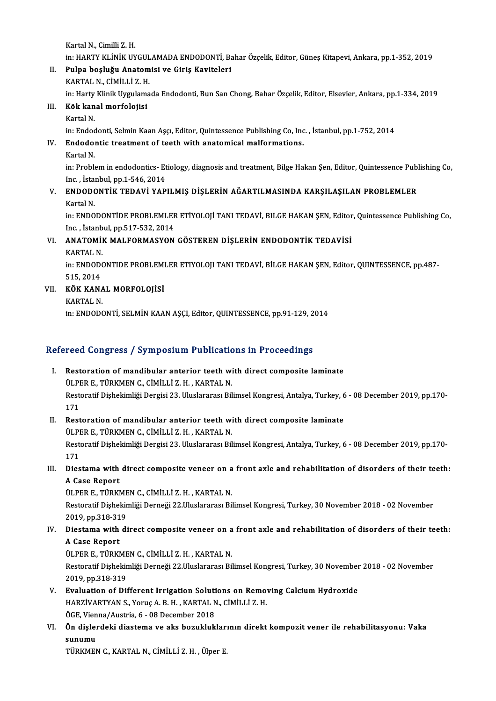Kartal N., Cimilli Z. H.

Kartal N., Cimilli Z. H.<br>in: HARTY KLİNİK UYGULAMADA ENDODONTİ, Bahar Özçelik, Editor, Güneş Kitapevi, Ankara, pp.1-352, 2019<br>Pulna hasluğu Anstamisi ve Giris Kavitaleri

II. Pulpa boşluğu Anatomisi ve Giriş Kaviteleri<br>KARTAL N., CİMİLLİ Z. H.

in: HARTY KLİNİK UYGUL<br><mark>Pulpa boşluğu Anatom</mark><br>KARTAL N., CİMİLLİ Z. H.<br>in: Harty Klinik Uygulama Pulpa boşluğu Anatomisi ve Giriş Kaviteleri<br>KARTAL N., CİMİLLİ Z. H.<br>in: Harty Klinik Uygulamada Endodonti, Bun San Chong, Bahar Özçelik, Editor, Elsevier, Ankara, pp.1-334, 2019<br>Kök kanal marfalejisi

III. Kök kanal morfolojisi<br>Kartal N. in: Harty<br><mark>Kök kan</mark><br>Kartal N.<br>in: Endec

Kök kanal morfolojisi<br>Kartal N.<br>in: Endodonti, Selmin Kaan Aşçı, Editor, Quintessence Publishing Co, Inc. , İstanbul, pp.1-752, 2014<br>Endodontis treatment of teeth with anatemisel malformations

### IV. Endodontic treatment of teeth with anatomical malformations.<br>Kartal N. in: Endod<br>**Endodo**<br>Kartal N.<br>in: Proble

Endodontic treatment of teeth with anatomical malformations.<br>Kartal N.<br>in: Problem in endodontics- Etiology, diagnosis and treatment, Bilge Hakan Şen, Editor, Quintessence Publishing Co, Kartal N.<br>in: Problem in endodontics- Et<br>Inc. , İstanbul, pp.1-546, 2014<br>ENDODONTİK, TEDAVİ YAR in: Problem in endodontics- Etiology, diagnosis and treatment, Bilge Hakan Şen, Editor, Quintessence Publ<br>Inc. , İstanbul, pp.1-546, 2014<br>V. ENDODONTİK TEDAVİ YAPILMIŞ DİŞLERİN AĞARTILMASINDA KARŞILAŞILAN PROBLEMLER<br>Kartal

## Inc. , İstai<br>**ENDOD(**<br>Kartal N. ENDODONTİK TEDAVİ YAPILMIŞ DİŞLERİN AĞARTILMASINDA KARŞILAŞILAN PROBLEMLER<br>Kartal N.<br>in: ENDODONTİDE PROBLEMLER ETİYOLOJİ TANI TEDAVİ, BILGE HAKAN ŞEN, Editor, Quintessence Publishing Co,<br>Ins., İstanbul np.547,522,2014

Kartal N.<br>in: ENDODONTİDE PROBLEMLEF<br>Inc. , İstanbul, pp.517-532, 2014<br>ANATOMİK MALEOPMASYON in: ENDODONTİDE PROBLEMLER ETİYOLOJİ TANI TEDAVİ, BILGE HAKAN ŞEN, Editor<br>Inc., İstanbul, pp.517-532, 2014<br>VI. **ANATOMİK MALFORMASYON GÖSTEREN DİŞLERİN ENDODONTİK TEDAVİSİ**<br>KARTAL N

## Inc., İstanbul, pp.517-532, 2014<br>VI. ANATOMİK MALFORMASYON GÖSTEREN DİŞLERİN ENDODONTİK TEDAVİSI<br>KARTAL N.

ANATOMİK MALFORMASYON GÖSTEREN DİŞLERİN ENDODONTİK TEDAVİSİ<br>KARTAL N.<br>in: ENDODONTIDE PROBLEMLER ETIYOLOJI TANI TEDAVİ, BİLGE HAKAN ŞEN, Editor, QUINTESSENCE, pp.487-<br>515-2014 KARTAL N.<br>in: ENDODO<br>515, 2014<br>KÖK KAN in: ENDODONTIDE PROBLEMI<br>515, 2014<br>VII. KÖK KANAL MORFOLOJİSİ<br>KARTAL N

- 515, 2014<br>**KÖK KANA<br>KARTAL N.**<br>in: ENDODO
	-

KARTAL N.<br>in: ENDODONTİ, SELMİN KAAN AŞÇI, Editor, QUINTESSENCE, pp.91-129, 2014

# m: ENDODONTI, SELMIN KAAN AŞÇI, EGILOT, QOINTESSENCE, pp.91-129, 2<br>Refereed Congress / Symposium Publications in Proceedings

efereed Congress / Symposium Publications in Proceedings<br>I. Restoration of mandibular anterior teeth with direct composite laminate<br>III PER E TURMENC CIMILLIZ H KARTAL N I. Restoration of mandibular anterior teeth with direct composite laminate<br>ÜLPER E., TÜRKMEN C., CİMİLLİ Z. H., KARTAL N. Restoration of mandibular anterior teeth with direct composite laminate<br>ÜLPER E., TÜRKMEN C., CİMİLLİ Z. H. , KARTAL N.<br>Restoratif Dişhekimliği Dergisi 23. Uluslararası Bilimsel Kongresi, Antalya, Turkey, 6 - 08 December 2 ÜLPI<br>Reste<br>171<br>Best Restoratif Dişhekimliği Dergisi 23. Uluslararası Bilimsel Kongresi, Antalya, Turkey, 6<br>171<br>II. Restoration of mandibular anterior teeth with direct composite laminate<br>i'll PEP E. TÜRKAEN C. CIMILLI 7. H. KARTAL N

171<br>Restoration of mandibular anterior teeth wi<br>ÜLPER E., TÜRKMEN C., CİMİLLİ Z. H. , KARTAL N.<br>Restoratif Dishekimliği Dergisi 22. Uluslararası Bil Restoration of mandibular anterior teeth with direct composite laminate<br>ÜLPER E., TÜRKMEN C., CİMİLLİ Z. H. , KARTAL N.<br>Restoratif Dişhekimliği Dergisi 23. Uluslararası Bilimsel Kongresi, Antalya, Turkey, 6 - 08 December 2 ÜLPI<br>Reste<br>171<br>Dies Restoratif Dişhekimliği Dergisi 23. Uluslararası Bilimsel Kongresi, Antalya, Turkey, 6 - 08 December 2019, pp.170-<br>171 Diestama with direct composite veneer on a front axle and rehabilitation of disorders of their teeth:<br>A

171<br>Diestama with<br>A Case Report<br><sup>Th DED E</sup> T<sup>rip*v*1</sup> Diestama with direct composite veneer on a<br>A Case Report<br>ÜLPER E., TÜRKMEN C., CİMİLLİ Z. H. , KARTAL N.<br>Besteratif Dishekimliği Derneği 22 Uluslararası Bil

A Case Report<br>ÜLPER E., TÜRKMEN C., CİMİLLİ Z. H. , KARTAL N.<br>Restoratif Dişhekimliği Derneği 22.Uluslararası Bilimsel Kongresi, Turkey, 30 November 2018 - 02 November<br>2019 np.319.319. ÜLPER E., TÜRKME<br>Restoratif Dişhekin<br>2019, pp.318-319<br>Disstame with di Restoratif Dişhekimliği Derneği 22.Uluslararası Bilimsel Kongresi, Turkey, 30 November 2018 - 02 November 2019, pp.318-319<br>IV. Diestama with direct composite veneer on a front axle and rehabilitation of disorders of their

## 2019, pp.318-31<br>Diestama with<br>A Case Report<br><sup>Th pep e</sup> T<sup>rip*v*1</sup> Diestama with direct composite veneer on a<br>A Case Report<br>ÜLPER E., TÜRKMEN C., CİMİLLİ Z. H. , KARTAL N.<br>Besteratif Dishekimliği Derneği 22 Uluslararası Bil

A Case Report<br>ÜLPER E., TÜRKMEN C., CİMİLLİ Z. H. , KARTAL N.<br>Restoratif Dişhekimliği Derneği 22.Uluslararası Bilimsel Kongresi, Turkey, 30 November 2018 - 02 November 2019,pp.318-319 Restoratif Dişhekimliği Derneği 22.Uluslararası Bilimsel Kongresi, Turkey, 30 November<br>2019, pp.318-319<br>V. Evaluation of Different Irrigation Solutions on Removing Calcium Hydroxide<br>HARZİVARTYAN S. Vorus A B.H., KARTAL N.

- 2019, pp.318-319<br><mark>Evaluation of Different Irrigation Solutions on Remo</mark><br>HARZİVARTYAN S., Yoruç A. B. H. , KARTAL N., CİMİLLİ Z. H.<br>ÖCE Vienne (Austria 6, .09 Desember 2019 Evaluation of Different Irrigation Soluti<br>HARZİVARTYAN S., Yoruç A. B. H. , KARTAL N<br>ÖGE, Vienna/Austria, 6 - 08 December 2018<br>Ön dielendeki diesteme ve eke berukluk
- HARZİVARTYAN S., Yoruç A. B. H. , KARTAL N., CİMİLLİ Z. H.<br>ÖGE, Vienna/Austria, 6 08 December 2018<br>VI. Ön dişlerdeki diastema ve aks bozukluklarının direkt kompozit vener ile rehabilitasyonu: Vaka<br>aunumu ÖGE, Vien<br>**Ön dişle:<br>sunumu**<br>TÜRKMEN Ön dişlerdeki diastema ve aks bozukluklar<br>sunumu<br>TÜRKMEN C., KARTAL N., CİMİLLİ Z. H. , Ülper E.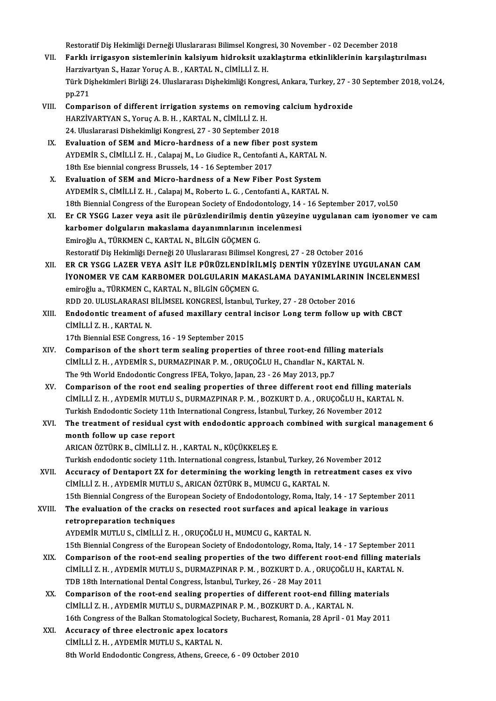Restoratif Diş Hekimliği Derneği Uluslararası Bilimsel Kongresi, 30 November - 02 December 2018<br>Ferklı innizasyon sistemlerinin kalejyum hidroksit uzaklastırma etkinliklerinin karalastı

- VII. Farklı irrigasyon sistemlerinin kalsiyum hidroksit uzaklaştırma etkinliklerinin karşılaştırılması Restoratif Diş Hekimliği Derneği Uluslararası Bilimsel Kongre<br>Farklı irrigasyon sistemlerinin kalsiyum hidroksit uza<br>Harzivartyan S., Hazar Yoruç A. B. , KARTAL N., CİMİLLİ Z. H.<br>Türk Diskeltimleri Birliği 24 Uluslararası Türk Dişhekimleri Birliği 24. Uluslararası Dişhekimliği Kongresi, Ankara, Turkey, 27 - 30 September 2018, vol.24,<br>pp.271 Harzivartyan S., Hazar Yoruc A. B., KARTAL N., CİMİLLİ Z. H. Türk Dişhekimleri Birliği 24. Uluslararası Dişhekimliği Kongresi, Ankara, Turkey, 27 - 3<br>pp.271<br>VIII. Comparison of different irrigation systems on removing calcium hydroxide<br>HARZİVARTVAN S. VORUGA B.H., KARTAL N. CİMİLLİ
- pp.271<br>Comparison of different irrigation systems on remov<br>HARZİVARTYAN S., Yoruç A. B. H. , KARTAL N., CİMİLLİ Z. H.<br>24 Huslararasi Dishekimlisi Kongresi, 27, 20 Sentember 26 Comparison of different irrigation systems on removing<br>HARZİVARTYAN S., Yoruç A. B. H. , KARTAL N., CİMİLLİ Z. H.<br>24. Uluslararasi Dishekimligi Kongresi, 27 - 30 September 2018<br>Evalustion of SEM and Migre bardness of a new HARZİVARTYAN S., Yoruç A. B. H. , KARTAL N., CİMİLLİ Z. H.<br>24. Uluslararasi Dishekimligi Kongresi, 27 - 30 September 2018<br>IX. Evaluation of SEM and Micro-hardness of a new fiber post system
- 24. Uluslararasi Dishekimligi Kongresi, 27 30 September 2018<br>Evaluation of SEM and Micro-hardness of a new fiber post system<br>AYDEMİR S., CİMİLLİ Z. H. , Calapaj M., Lo Giudice R., Centofanti A., KARTAL N.<br>19th Ese bienni Evaluation of SEM and Micro-hardness of a new fiber p<br>AYDEMIR S., CIMILLI Z. H., Calapaj M., Lo Giudice R., Centofant<br>18th Ese biennial congress Brussels, 14 - 16 September 2017<br>Evaluation of SEM and Micro-bardness of a Ne AYDEMIR S., CIMILLI Z. H., Calapaj M., Lo Giudice R., Centofanti A., KARTAL N<br>18th Ese biennial congress Brussels, 14 - 16 September 2017<br>X. Evaluation of SEM and Micro-hardness of a New Fiber Post System<br>AVDEMIR S. CIMILL
- 18th Ese biennial congress Brussels, 14 16 September 2017<br>X. Evaluation of SEM and Micro-hardness of a New Fiber Post System<br>AYDEMİR S., CİMİLLİ Z. H. , Calapaj M., Roberto L. G. , Centofanti A., KARTAL N. Evaluation of SEM and Micro-hardness of a New Fiber Post System<br>AYDEMİR S., CİMİLLİ Z. H. , Calapaj M., Roberto L. G. , Centofanti A., KARTAL N.<br>18th Biennial Congress of the European Society of Endodontology, 14 - 16 Sept AYDEMİR S., CİMİLLİ Z. H. , Calapaj M., Roberto L. G. , Centofanti A., KARTAL N.<br>18th Biennial Congress of the European Society of Endodontology, 14 - 16 September 2017, vol.50<br>XI. Er CR YSGG Lazer veya asit ile pürüzlendi
- 18th Biennial Congress of the European Society of Endodontology, 14<br>Er CR YSGG Lazer veya asit ile pürüzlendirilmiş dentin yüzeyir<br>karbomer dolguların makaslama dayanımnlarının incelenmesi<br>Emineğlu A. TÜRKAEN C. KARTAL N. Er CR YSGG Lazer veya asit ile pürüzlendirilmiş den<br>karbomer dolguların makaslama dayanımnlarının il<br>Emiroğlu A., TÜRKMEN C., KARTAL N., BİLGİN GÖÇMEN G.<br>Bestaratif Dis Hakimliği Denneği 20 Uluslararası Bilimsel K karbomer dolguların makaslama dayanımnlarının incelenmesi<br>Emiroğlu A., TÜRKMEN C., KARTAL N., BİLGİN GÖÇMEN G.<br>Restoratif Dis Hekimliği Derneği 20 Uluslararası Bilimsel Kongresi, 27 - 28 October 2016 Emiroğlu A., TÜRKMEN C., KARTAL N., BİLGİN GÖÇMEN G.<br>Restoratif Diş Hekimliği Derneği 20 Uluslararası Bilimsel Kongresi, 27 - 28 October 2016<br>XII. BR CR YSGG LAZER VEYA ASİT İLE PÜRÜZLENDİRİLMİŞ DENTİN YÜZEYİNE UYGULANAN C
- Restoratif Diş Hekimliği Derneği 20 Uluslararası Bilimsel Kongresi, 27 28 October 2016<br>ER CR YSGG LAZER VEYA ASİT İLE PÜRÜZLENDİRİLMİŞ DENTİN YÜZEYİNE UYGULANAN CAM<br>İYONOMER VE CAM KARBOMER DOLGULARIN MAKASLAMA DAYANIMLA ER CR YSGG LAZER VEYA ASİT İLE PÜRÜZLENDİRİ<br>İYONOMER VE CAM KARBOMER DOLGULARIN MAK<br>emiroğlu a., TÜRKMEN C., KARTAL N., BİLGİN GÖÇMEN G.<br>PDD 20. HLUSLARARASI BİLİMSEL KONCRESİ İstanbul T İYONOMER VE CAM KARBOMER DOLGULARIN MAKASLAMA DAYANIMLARININ İNCELENMESİ<br>emiroğlu a., TÜRKMEN C., KARTAL N., BİLGİN GÖÇMEN G.<br>RDD 20. ULUSLARARASI BİLİMSEL KONGRESİ, İstanbul, Turkey, 27 - 28 October 2016 emiroğlu a., TÜRKMEN C., KARTAL N., BİLGİN GÖÇMEN G.<br>RDD 20. ULUSLARARASI BİLİMSEL KONGRESİ, İstanbul, Turkey, 27 - 28 October 2016<br>XIII. Endodontic treament of afused maxillary central incisor Long term follow up with
- RDD 20. ULUSLARARASI I<br>Endodontic treament o<br>CİMİLLİ Z. H. , KARTAL N.<br>17th Bionnial ESE Congre Endodontic treament of afused maxillary centra<br>CIMILLI Z. H., KARTAL N.<br>17th Biennial ESE Congress, 16 - 19 September 2015<br>Comparison of the short term seeling proportie

- CIMILLI Z. H., KARTAL N.<br>17th Biennial ESE Congress, 16 19 September 2015<br>XIV. Comparison of the short term sealing properties of three root-end filling materials<br>CIMILLI Z. H. AVDEMIR S. DURMAZRINAR R.M. ORUCOČLILH, Cha 17th Biennial ESE Congress, 16 - 19 September 2015<br>Comparison of the short term sealing properties of three root-end filling mate<br>CİMİLLİ Z. H. , AYDEMİR S., DURMAZPINAR P. M. , ORUÇOĞLU H., Chandlar N., KARTAL N.<br>The 9th Comparison of the short term sealing properties of three root-end filli<br>CIMILLI Z. H. , AYDEMIR S., DURMAZPINAR P. M. , ORUÇOĞLU H., Chandlar N., KA<br>The 9th World Endodontic Congress IFEA, Tokyo, Japan, 23 - 26 May 2013, p CIMILLI Z. H., AYDEMIR S., DURMAZPINAR P. M., ORUÇOĞLU H., Chandlar N., KARTAL N.<br>The 9th World Endodontic Congress IFEA, Tokyo, Japan, 23 - 26 May 2013, pp.7<br>XV. Comparison of the root end sealing properties of three diff
- The 9th World Endodontic Congress IFEA, Tokyo, Japan, 23 26 May 2013, pp.7<br>Comparison of the root end sealing properties of three different root end filling materia<br>CİMİLLİ Z. H. , AYDEMİR MUTLU S., DURMAZPINAR P. M. , B Comparison of the root end sealing properties of three different root end filling macimiliary compared in the S<br>Cimil Li Z. H. , AYDEMIR MUTLU S., DURMAZPINAR P. M. , BOZKURT D. A. , ORUÇOĞLU H., KART<br>Turkish Endodontic So CIMILLI Z. H. , AYDEMIR MUTLU S., DURMAZPINAR P. M. , BOZKURT D. A. , ORUÇOĞLU H., KARTAL N.<br>Turkish Endodontic Society 11th International Congress, İstanbul, Turkey, 26 November 2012<br>XVI. The treatment of residual cys
- Turkish Endodontic Society 11th<br>The treatment of residual cys<br>month follow up case report<br>ABICAN ÖZTÜDK B. CIMU LI Z. W The treatment of residual cyst with endodontic approac<br>month follow up case report<br>ARICAN ÖZTÜRK B., CİMİLLİ Z. H. , KARTAL N., KÜÇÜKKELEŞ E.<br>Turkish endodontis sosistu 11th International songress, İstanb month follow up case report<br>ARICAN ÖZTÜRK B., CİMİLLİ Z. H. , KARTAL N., KÜÇÜKKELEŞ E.<br>Turkish endodontic society 11th. International congress, İstanbul, Turkey, 26 November 2012<br>Assunasy of Dontanont ZX fon determining th
	-

ARICAN ÖZTÜRK B., CIMILLI Z. H. , KARTAL N., KÜÇÜKKELEŞ E.<br>Turkish endodontic society 11th. International congress, İstanbul, Turkey, 26 November 2012<br>XVII. Accuracy of Dentaport ZX for determining the working length i Turkish endodontic society 11th. International congress, İstanbul, Turkey, 26 N<br>Accuracy of Dentaport ZX for determining the working length in retro<br>CİMİLLİ Z. H. , AYDEMİR MUTLU S., ARICAN ÖZTÜRK B., MUMCU G., KARTAL N.<br>1 Accuracy of Dentaport ZX for determining the working length in retreatment cases ex vivo<br>CIMILLI Z. H. , AYDEMIR MUTLU S., ARICAN ÖZTÜRK B., MUMCU G., KARTAL N.<br>15th Biennial Congress of the European Society of Endodontolo CIMILLI Z. H. , AYDEMIR MUTLU S., ARICAN ÖZTÜRK B., MUMCU G., KARTAL N.<br>15th Biennial Congress of the European Society of Endodontology, Roma, Italy, 14 - 17 September<br>2011. The evaluation of the cracks on resected root su

15th Biennial Congress of the Eury<br>The evaluation of the cracks<br>retropreparation techniques<br>AVDEMIP MUTHUS CIMILLIZ H The evaluation of the cracks on resected root surfaces and apical leakage in various<br>retropreparation techniques<br>AYDEMİR MUTLU S., CİMİLLİ Z. H. , ORUÇOĞLU H., MUMCU G., KARTAL N. retropreparation techniques<br>AYDEMİR MUTLU S., CİMİLLİ Z. H. , ORUÇOĞLU H., MUMCU G., KARTAL N.<br>15th Biennial Congress of the European Society of Endodontology, Roma, Italy, 14 - 17 September 2011<br>Comparison of the reet and

- AYDEMİR MUTLU S., CİMİLLİ Z. H., ORUÇOĞLU H., MUMCU G., KARTAL N.<br>15th Biennial Congress of the European Society of Endodontology, Roma, Italy, 14 17 September 2011<br>XIX. Comparison of the root-end sealing properties of t 15th Biennial Congress of the European Society of Endodontology, Roma, Italy, 14 - 17 September 20<br>Comparison of the root-end sealing properties of the two different root-end filling mate<br>CİMİLLİ Z. H. , AYDEMİR MUTLU S., Comparison of the root-end sealing properties of the two different<br>CIMILLI Z. H., AYDEMIR MUTLU S., DURMAZPINAR P. M., BOZKURT D. A., OR<br>TDB 18th International Dental Congress, İstanbul, Turkey, 26 - 28 May 2011<br>Comparison CIMILLI Z. H. , AYDEMIR MUTLU S., DURMAZPINAR P. M. , BOZKURT D. A. , ORUÇOĞLU H., KARTAL N.<br>TDB 18th International Dental Congress, İstanbul, Turkey, 26 - 28 May 2011<br>XX. Comparison of the root-end sealing properties of d
- CİMİLLİZ.H. ,AYDEMİRMUTLUS.,DURMAZPINARP.M. ,BOZKURTD.A. ,KARTALN. Comparison of the root-end sealing properties of different root-end filling materials<br>CIMILLI Z. H. , AYDEMIR MUTLU S., DURMAZPINAR P. M. , BOZKURT D. A. , KARTAL N.<br>16th Congress of the Balkan Stomatological Society, Buch CIMILLI Z. H., AYDEMIR MUTLU S., DURMAZPIN.<br>16th Congress of the Balkan Stomatological Socie<br>XXI. Accuracy of three electronic apex locators<br>5 CIMILLI Z. H. AYDEMIR MUTLU S. KARTAL N
- 16th Congress of the Balkan Stomatological So<br>Accuracy of three electronic apex locator<br>CİMİLLİ Z. H. , AYDEMİR MUTLU S., KARTAL N. Accuracy of three electronic apex locators<br>CIMILLI Z. H., AYDEMIR MUTLU S., KARTAL N.<br>8th World Endodontic Congress, Athens, Greece, 6 - 09 October 2010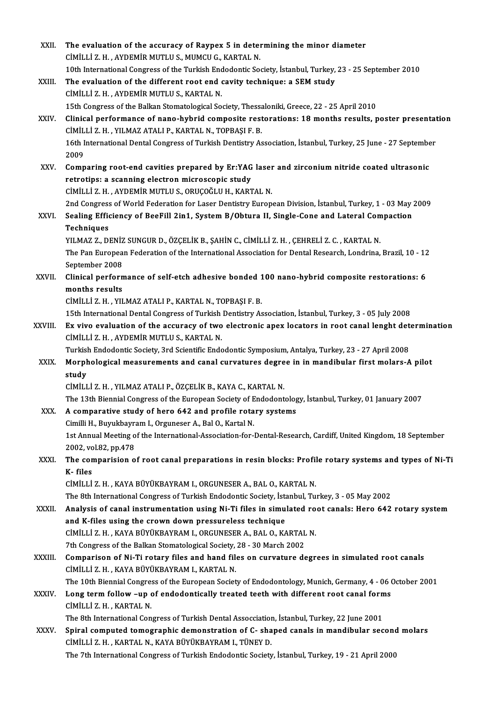| XXII.        | The evaluation of the accuracy of Raypex 5 in determining the minor diameter                                   |
|--------------|----------------------------------------------------------------------------------------------------------------|
|              | CIMILLI Z. H., AYDEMIR MUTLU S., MUMCU G., KARTAL N.                                                           |
|              | 10th International Congress of the Turkish Endodontic Society, İstanbul, Turkey, 23 - 25 September 2010        |
| XXIII.       | The evaluation of the different root end cavity technique: a SEM study                                         |
|              | CİMİLLİ Z. H., AYDEMİR MUTLU S., KARTAL N.                                                                     |
|              | 15th Congress of the Balkan Stomatological Society, Thessaloniki, Greece, 22 - 25 April 2010                   |
| XXIV.        | Clinical performance of nano-hybrid composite restorations: 18 months results, poster presentation             |
|              | CİMİLLİ Z. H., YILMAZ ATALI P., KARTAL N., TOPBAŞI F. B.                                                       |
|              | 16th International Dental Congress of Turkish Dentistry Association, İstanbul, Turkey, 25 June - 27 September  |
|              | 2009                                                                                                           |
| XXV.         | Comparing root-end cavities prepared by Er:YAG laser and zirconium nitride coated ultrasonic                   |
|              | retrotips: a scanning electron microscopic study                                                               |
|              | CİMİLLİ Z.H., AYDEMİR MUTLU S., ORUÇOĞLU H., KARTAL N.                                                         |
|              | 2nd Congress of World Federation for Laser Dentistry European Division, İstanbul, Turkey, 1 - 03 May 2009      |
| XXVI.        | Sealing Efficiency of BeeFill 2in1, System B/Obtura II, Single-Cone and Lateral Compaction                     |
|              | Techniques                                                                                                     |
|              | YILMAZ Z., DENİZ SUNGUR D., ÖZÇELİK B., ŞAHİN C., CİMİLLİ Z. H. , ÇEHRELİ Z. C. , KARTAL N.                    |
|              | The Pan European Federation of the International Association for Dental Research, Londrina, Brazil, 10 - 12    |
|              | September 2008                                                                                                 |
| XXVII.       | Clinical performance of self-etch adhesive bonded 100 nano-hybrid composite restorations: 6                    |
|              | months results                                                                                                 |
|              | CİMİLLİ Z. H., YILMAZ ATALI P., KARTAL N., TOPBAŞI F. B.                                                       |
|              | 15th International Dental Congress of Turkish Dentistry Association, İstanbul, Turkey, 3 - 05 July 2008        |
| XXVIII.      | Ex vivo evaluation of the accuracy of two electronic apex locators in root canal lenght determination          |
|              | CIMILLI Z. H., AYDEMIR MUTLU S., KARTAL N.                                                                     |
|              | Turkish Endodontic Society, 3rd Scientific Endodontic Symposium, Antalya, Turkey, 23 - 27 April 2008           |
| XXIX.        | Morphological measurements and canal curvatures degree in in mandibular first molars-A pilot                   |
|              | study                                                                                                          |
|              | CİMİLLİ Z. H., YILMAZ ATALI P., ÖZÇELİK B., KAYA C., KARTAL N.                                                 |
|              | The 13th Biennial Congress of the European Society of Endodontology, İstanbul, Turkey, 01 January 2007         |
| XXX.         | A comparative study of hero 642 and profile rotary systems                                                     |
|              | Cimilli H., Buyukbayram I., Orguneser A., Bal O., Kartal N.                                                    |
|              | 1st Annual Meeting of the International-Association-for-Dental-Research, Cardiff, United Kingdom, 18 September |
|              | 2002, vol 82, pp 478                                                                                           |
| XXXI.        | The comparision of root canal preparations in resin blocks: Profile rotary systems and types of Ni-Ti          |
|              | K-files                                                                                                        |
|              | CİMİLLİ Z. H., KAYA BÜYÜKBAYRAM I., ORGUNESER A., BAL O., KARTAL N.                                            |
|              | The 8th International Congress of Turkish Endodontic Society, İstanbul, Turkey, 3 - 05 May 2002                |
| XXXII.       | Analysis of canal instrumentation using Ni-Ti files in simulated root canals: Hero 642 rotary system           |
|              | and K-files using the crown down pressureless technique                                                        |
|              | CİMİLLİ Z.H., KAYA BÜYÜKBAYRAM I., ORGUNESER A., BAL O., KARTAL N.                                             |
|              | 7th Congress of the Balkan Stomatological Society, 28 - 30 March 2002                                          |
| XXXIII.      | Comparison of Ni-Ti rotary files and hand files on curvature degrees in simulated root canals                  |
|              | CİMİLLİ Z.H., KAYA BÜYÜKBAYRAM I., KARTAL N.                                                                   |
|              | The 10th Biennial Congress of the European Society of Endodontology, Munich, Germany, 4 - 06 October 2001      |
| <b>XXXIV</b> | Long term follow -up of endodontically treated teeth with different root canal forms                           |
|              | CİMİLLİ Z H , KARTAL N                                                                                         |
|              | The 8th International Congress of Turkish Dental Assocciation, İstanbul, Turkey, 22 June 2001                  |
| <b>XXXV</b>  | Spiral computed tomographic demonstration of C- shaped canals in mandibular second molars                      |
|              | CİMİLLİ Z. H., KARTAL N., KAYA BÜYÜKBAYRAM I., TÜNEY D.                                                        |
|              | The 7th International Congress of Turkish Endodontic Society, İstanbul, Turkey, 19 - 21 April 2000             |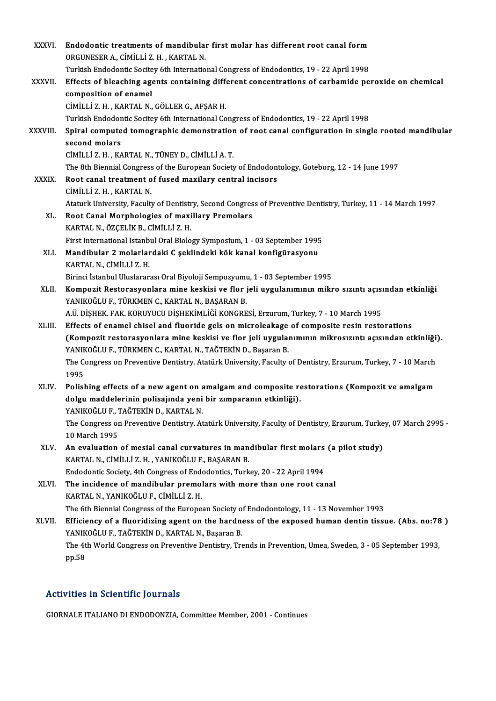| <b>XXXVI</b> | Endodontic treatments of mandibular first molar has different root canal form<br>ORGUNESER A., CIMILLI Z. H., KARTAL N.                                              |
|--------------|----------------------------------------------------------------------------------------------------------------------------------------------------------------------|
|              | Turkish Endodontic Socitey 6th International Congress of Endodontics, 19 - 22 April 1998                                                                             |
| XXXVII.      | Effects of bleaching agents containing different concentrations of carbamide peroxide on chemical<br>composition of enamel                                           |
|              | CİMİLLİ Z. H., KARTAL N., GÖLLER G., AFŞAR H.                                                                                                                        |
|              | Turkish Endodontic Socitey 6th International Congress of Endodontics, 19 - 22 April 1998                                                                             |
| XXXVIII.     | Spiral computed tomographic demonstration of root canal configuration in single rooted mandibular<br>second molars                                                   |
|              | CİMİLLİ Z.H., KARTAL N., TÜNEY D., CİMİLLİ A.T.                                                                                                                      |
|              | The 8th Biennial Congress of the European Society of Endodontology, Goteborg, 12 - 14 June 1997                                                                      |
| <b>XXXIX</b> | Root canal treatment of fused maxilary central incisors                                                                                                              |
|              | CİMİLLİ Z H , KARTAL N                                                                                                                                               |
|              | Ataturk University, Faculty of Dentistry, Second Congress of Preventive Dentistry, Turkey, 11 - 14 March 1997                                                        |
| XL.          | Root Canal Morphologies of maxillary Premolars                                                                                                                       |
|              | KARTAL N., ÖZÇELİK B., CİMİLLİ Z. H.                                                                                                                                 |
|              | First International Istanbul Oral Biology Symposium, 1 - 03 September 1995                                                                                           |
| XLI.         | Mandibular 2 molarlardaki C şeklindeki kök kanal konfigürasyonu                                                                                                      |
|              | KARTAL N., CİMİLLİ Z. H.                                                                                                                                             |
|              | Birinci İstanbul Uluslararası Oral Biyoloji Sempozyumu, 1 - 03 September 1995                                                                                        |
| XLII.        | Kompozit Restorasyonlara mine keskisi ve flor jeli uygulanımının mikro sızıntı açısından etkinliği                                                                   |
|              | YANIKOĞLU F., TÜRKMEN C., KARTAL N., BAŞARAN B.                                                                                                                      |
|              | A.Ü. DİŞHEK. FAK. KORUYUCU DİŞHEKİMLİĞİ KONGRESİ, Erzurum, Turkey, 7 - 10 March 1995                                                                                 |
| XLIII.       | Effects of enamel chisel and fluoride gels on microleakage of composite resin restorations                                                                           |
|              | (Kompozit restorasyonlara mine keskisi ve flor jeli uygulanımının mikrosızıntı açısından etkinliği).<br>YANIKOĞLU F., TÜRKMEN C., KARTAL N., TAĞTEKİN D., Başaran B. |
|              | The Congress on Preventive Dentistry. Atatürk University, Faculty of Dentistry, Erzurum, Turkey, 7 - 10 March                                                        |
|              | 1995                                                                                                                                                                 |
| XLIV.        | Polishing effects of a new agent on amalgam and composite restorations (Kompozit ve amalgam                                                                          |
|              | dolgu maddelerinin polisajında yeni bir zımparanın etkinliği).                                                                                                       |
|              | YANIKOĞLU F., TAĞTEKİN D., KARTAL N.                                                                                                                                 |
|              | The Congress on Preventive Dentistry. Atatürk University, Faculty of Dentistry, Erzurum, Turkey, 07 March 2995 -<br>10 March 1995                                    |
| XLV.         | An evaluation of mesial canal curvatures in mandibular first molars (a pilot study)                                                                                  |
|              | KARTAL N., CİMİLLİ Z. H., YANIKOĞLU F., BAŞARAN B.                                                                                                                   |
|              | Endodontic Society, 4th Congress of Endodontics, Turkey, 20 - 22 April 1994                                                                                          |
| XLVI.        | The incidence of mandibular premolars with more than one root canal<br>KARTAL N., YANIKOĞLU F., CİMİLLİ Z. H.                                                        |
|              | The 6th Biennial Congress of the European Society of Endodontology, 11 - 13 November 1993                                                                            |
| XLVII.       | Efficiency of a fluoridizing agent on the hardness of the exposed human dentin tissue. (Abs. no:78)<br>YANIKOĞLU F., TAĞTEKİN D., KARTAL N., Başaran B.              |
|              | The 4th World Congress on Preventive Dentistry, Trends in Prevention, Umea, Sweden, 3 - 05 September 1993,<br>pp 58                                                  |
|              |                                                                                                                                                                      |

#### Activities in Scientific Journals

GIORNALE ITALIANO DI ENDODONZIA, Committee Member, 2001 - Continues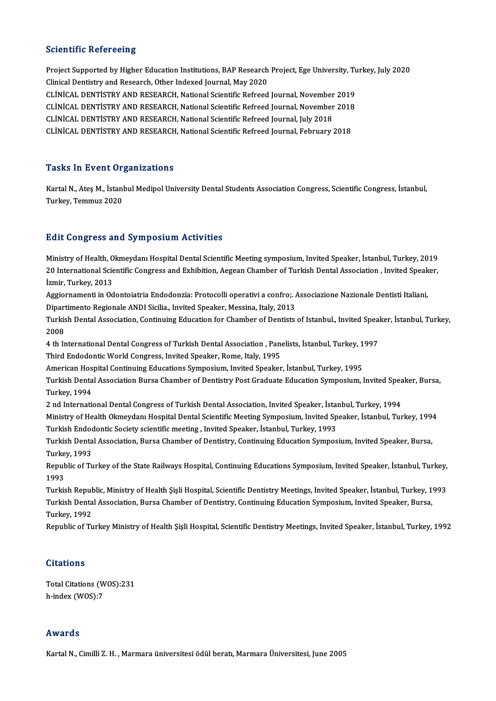#### **Scientific Refereeing**

Scientific Refereeing<br>Project Supported by Higher Education Institutions, BAP Research Project, Ege University, Turkey, July 2020<br>Clinical Dentisty and Besearch Other Indexed Journal May 2020 Project Supported by Higher Education Institutions, BAP Research<br>Clinical Dentistry and Research, Other Indexed Journal, May 2020<br>CLINICAL DENTISTRY AND RESEARCH National Scientific Refreed Project Supported by Higher Education Institutions, BAP Research Project, Ege University, Tu<br>Clinical Dentistry and Research, Other Indexed Journal, May 2020<br>CLİNİCAL DENTİSTRY AND RESEARCH, National Scientific Refreed Jou Clinical Dentistry and Research, Other Indexed Journal, May 2020<br>CLİNİCAL DENTİSTRY AND RESEARCH, National Scientific Refreed Journal, November 2019<br>CLİNİCAL DENTİSTRY AND RESEARCH, National Scientific Refreed Journal, Nov CLİNİCAL DENTİSTRY AND RESEARCH, National Scientific Refreed Journal, November<br>CLİNİCAL DENTİSTRY AND RESEARCH, National Scientific Refreed Journal, November<br>CLİNİCAL DENTİSTRY AND RESEARCH, National Scientific Refreed Jou CLİNİCAL DENTİSTRY AND RESEARCH, National Scientific Refreed Journal, November 2018<br>CLİNİCAL DENTİSTRY AND RESEARCH, National Scientific Refreed Journal, July 2018<br>CLİNİCAL DENTİSTRY AND RESEARCH, National Scientific Refre

#### **Tasks In Event Organizations**

Tasks In Event Organizations<br>Kartal N., Ateş M., İstanbul Medipol University Dental Students Association Congress, Scientific Congress, İstanbul,<br>Turkey, Tommuz 2020 Turkey, Temmuz 2020<br>Turkey, Temmuz 2020

# Turkey, Temmuz 2020<br>Edit Congress and Symposium Activities

Ministry of Health, Okmeydanı Hospital Dental Scientific Meeting symposium, Invited Speaker, İstanbul, Turkey, 2019 2012 Oorigi 058 dird by mpoord in Trocry refes<br>Ministry of Health, Okmeydanı Hospital Dental Scientific Meeting symposium, Invited Speaker, İstanbul, Turkey, 2019<br>20 International Scientific Congress and Exhibition, Aegean Ministry of Health, O<br>20 International Scie<br>İzmir, Turkey, 2013<br>Azziomamenti in Od 20 International Scientific Congress and Exhibition, Aegean Chamber of Turkish Dental Association , Invited Speak<br>İzmir, Turkey, 2013<br>Aggiornamenti in Odontoiatria Endodonzia: Protocolli operativi a confro;. Associazione N

İzmir, Turkey, 2013<br>Aggiornamenti in Odontoiatria Endodonzia: Protocolli operativi a confro;. *I*<br>Dipartimento Regionale ANDI Sicilia., Invited Speaker, Messina, Italy, 2013<br>Turkish Dental Assesistion, Continuing Education

Aggiornamenti in Odontoiatria Endodonzia: Protocolli operativi a confro;. Associazione Nazionale Dentisti Italiani,<br>Dipartimento Regionale ANDI Sicilia., Invited Speaker, Messina, Italy, 2013<br>Turkish Dental Association, Co Dipartimento Regionale ANDI Sicilia., Invited Speaker, Messina, Italy, 2013<br>Turkish Dental Association, Continuing Education for Chamber of Dentists<br>2008 Turkish Dental Association, Continuing Education for Chamber of Dentists of Istanbul., Invited Speaker, İstanbul, Turkey,

4 th International Dental Congress of Turkish Dental Association, Panelists, İstanbul, Turkey, 1997

Third Endodontic World Congress, Invited Speaker, Rome, Italy, 1995

American Hospital Continuing Educations Symposium, Invited Speaker, İstanbul, Turkey, 1995

Turkish Dental Association Bursa Chamber of Dentistry Post Graduate Education Symposium, Invited Speaker, Bursa,<br>Turkey, 1994 Turkish Dental Association Bursa Chamber of Dentistry Post Graduate Education Symposium, Invited Spea<br>Turkey, 1994<br>2 nd International Dental Congress of Turkish Dental Association, Invited Speaker, İstanbul, Turkey, 1994<br>M

Turkey, 1994<br>2 nd International Dental Congress of Turkish Dental Association, Invited Speaker, İstanbul, Turkey, 1994<br>Ministry of Health Okmeydanı Hospital Dental Scientific Meeting Symposium, Invited Speaker, İstanbul, T 2 nd International Dental Congress of Turkish Dental Association, Invited Speaker, İstan<br>Ministry of Health Okmeydanı Hospital Dental Scientific Meeting Symposium, Invited Sp<br>Turkish Endodontic Society scientific meeting , Ministry of Health Okmeydanı Hospital Dental Scientific Meeting Symposium, Invited Speaker, İstanbul, Turkey, 199<br>Turkish Endodontic Society scientific meeting , Invited Speaker, İstanbul, Turkey, 1993<br>Turkish Dental Assoc

Turkish Endodontic Society scientific meeting , Invited Speaker, İstanbul, Turkey, 1993<br>Turkish Dental Association, Bursa Chamber of Dentistry, Continuing Education Symposium, Invited Speaker, Bursa, Turkish Dental Association, Bursa Chamber of Dentistry, Continuing Education Symposium, Invited Speaker, Bursa,<br>Turkey, 1993<br>Republic of Turkey of the State Railways Hospital, Continuing Educations Symposium, Invited Speak

Turkey, 1993<br>Republic of T<br>1993 Republic of Turkey of the State Railways Hospital, Continuing Educations Symposium, Invited Speaker, İstanbul, Turkey,<br>1993<br>Turkish Republic, Ministry of Health Şişli Hospital, Scientific Dentistry Meetings, Invited Speake

1993<br>Turkish Republic, Ministry of Health Șișli Hospital, Scientific Dentistry Meetings, Invited Speaker, İstanbul, Turkey, 1<br>Turkish Dental Association, Bursa Chamber of Dentistry, Continuing Education Symposium, Invited Turkish Repu<mark>l</mark><br>Turkish Denta<br>Turkey, 1992<br>Pepublis of Tu Turkish Dental Association, Bursa Chamber of Dentistry, Continuing Education Symposium, Invited Speaker, Bursa,<br>Turkey, 1992<br>Republic of Turkey Ministry of Health Şişli Hospital, Scientific Dentistry Meetings, Invited Spea

#### **Citations**

Total Citations (WOS):231 h-index (WOS):7

#### Awards

Kartal N., Cimilli Z. H., Marmara üniversitesi ödül beratı, Marmara Üniversitesi, June 2005